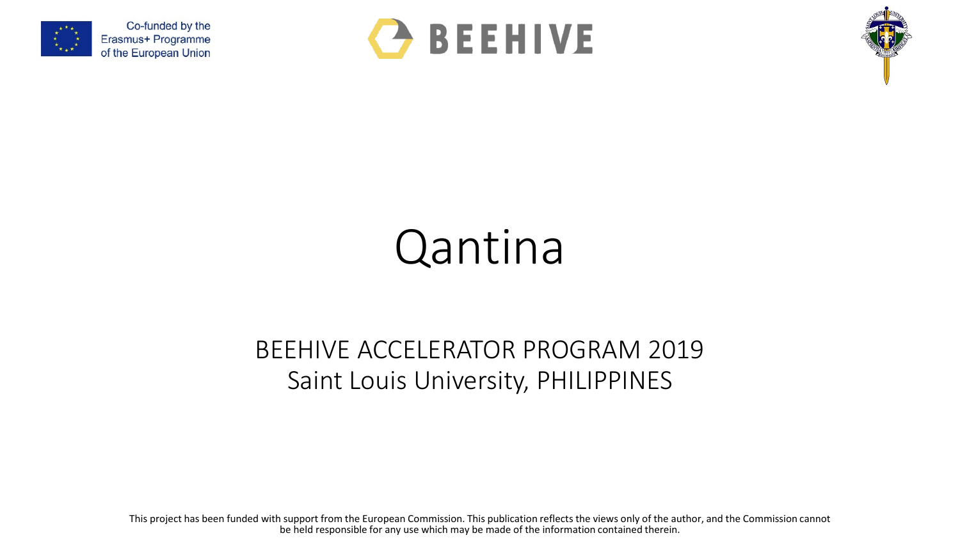





## Qantina

## BEEHIVE ACCELERATOR PROGRAM 2019 Saint Louis University, PHILIPPINES

This project has been funded with support from the European Commission. This publication reflects the views only of the author, and the Commission cannot be held responsible for any use which may be made of the information contained therein.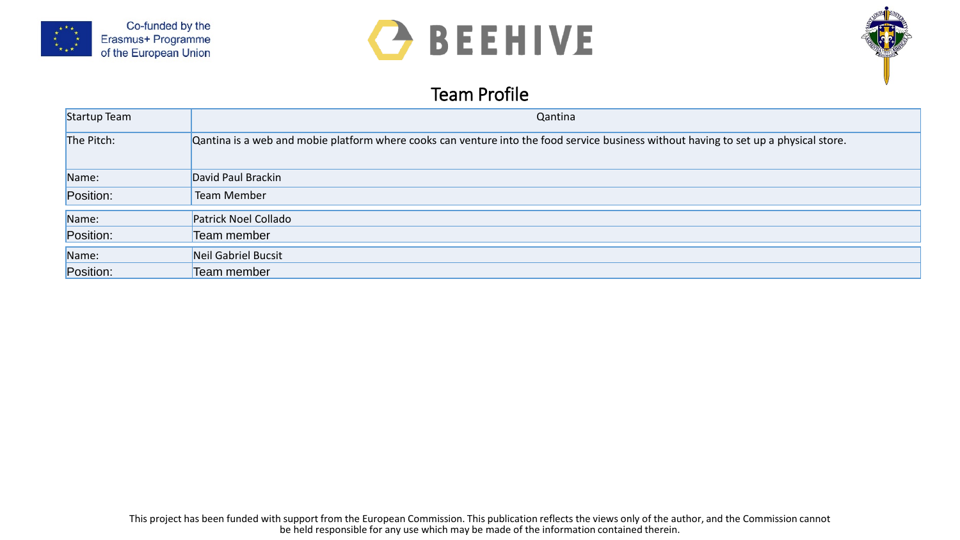





## Team Profile

| Startup Team | Qantina                                                                                                                               |
|--------------|---------------------------------------------------------------------------------------------------------------------------------------|
| The Pitch:   | Qantina is a web and mobie platform where cooks can venture into the food service business without having to set up a physical store. |
| Name:        | David Paul Brackin                                                                                                                    |
| Position:    | Team Member                                                                                                                           |
| Name:        | Patrick Noel Collado                                                                                                                  |
| Position:    | Team member                                                                                                                           |
| Name:        | Neil Gabriel Bucsit                                                                                                                   |
| Position:    | Team member                                                                                                                           |